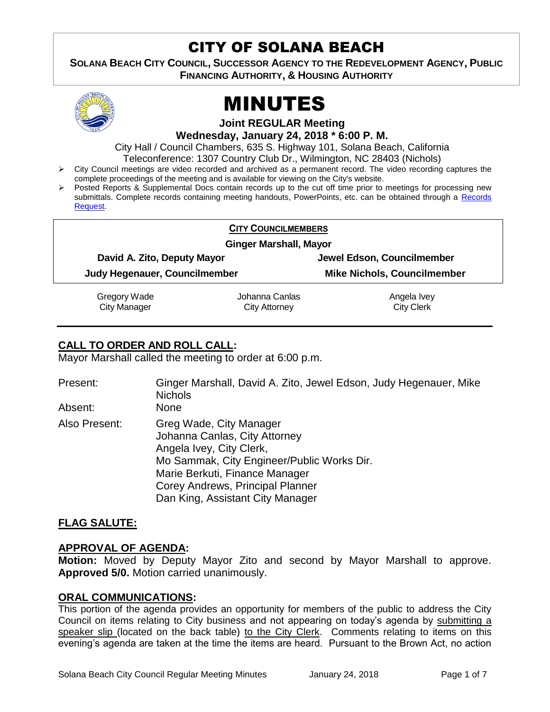## CITY OF SOLANA BEACH

**SOLANA BEACH CITY COUNCIL, SUCCESSOR AGENCY TO THE REDEVELOPMENT AGENCY, PUBLIC FINANCING AUTHORITY, & HOUSING AUTHORITY** 



# MINUTES

**Joint REGULAR Meeting**

**Wednesday, January 24, 2018 \* 6:00 P. M.**

City Hall / Council Chambers, 635 S. Highway 101, Solana Beach, California

Teleconference: 1307 Country Club Dr., Wilmington, NC 28403 (Nichols)

- City Council meetings are video recorded and archived as a permanent record. The video recording captures the complete proceedings of the meeting and is available for viewing on the City's website.
- Posted Reports & Supplemental Docs contain records up to the cut off time prior to meetings for processing new submittals. Complete records containing meeting handouts, PowerPoints, etc. can be obtained through a Records [Request.](http://www.ci.solana-beach.ca.us/index.asp?SEC=F5D45D10-70CE-4291-A27C-7BD633FC6742&Type=B_BASIC)

|                               | <b>CITY COUNCILMEMBERS</b> |                                    |  |
|-------------------------------|----------------------------|------------------------------------|--|
| <b>Ginger Marshall, Mayor</b> |                            |                                    |  |
| David A. Zito, Deputy Mayor   |                            | Jewel Edson, Councilmember         |  |
| Judy Hegenauer, Councilmember |                            | <b>Mike Nichols, Councilmember</b> |  |
| Gregory Wade                  | Johanna Canlas             | Angela Ivey                        |  |
| <b>City Manager</b>           | City Attorney              | <b>City Clerk</b>                  |  |

## **CALL TO ORDER AND ROLL CALL:**

Mayor Marshall called the meeting to order at 6:00 p.m.

| Present:<br>Absent: | Ginger Marshall, David A. Zito, Jewel Edson, Judy Hegenauer, Mike<br><b>Nichols</b><br><b>None</b>                                                                                                                                           |
|---------------------|----------------------------------------------------------------------------------------------------------------------------------------------------------------------------------------------------------------------------------------------|
| Also Present:       | Greg Wade, City Manager<br>Johanna Canlas, City Attorney<br>Angela Ivey, City Clerk,<br>Mo Sammak, City Engineer/Public Works Dir.<br>Marie Berkuti, Finance Manager<br>Corey Andrews, Principal Planner<br>Dan King, Assistant City Manager |

## **FLAG SALUTE:**

## **APPROVAL OF AGENDA:**

**Motion:** Moved by Deputy Mayor Zito and second by Mayor Marshall to approve. **Approved 5/0.** Motion carried unanimously.

## **ORAL COMMUNICATIONS:**

This portion of the agenda provides an opportunity for members of the public to address the City Council on items relating to City business and not appearing on today's agenda by submitting a speaker slip (located on the back table) to the City Clerk. Comments relating to items on this evening's agenda are taken at the time the items are heard. Pursuant to the Brown Act, no action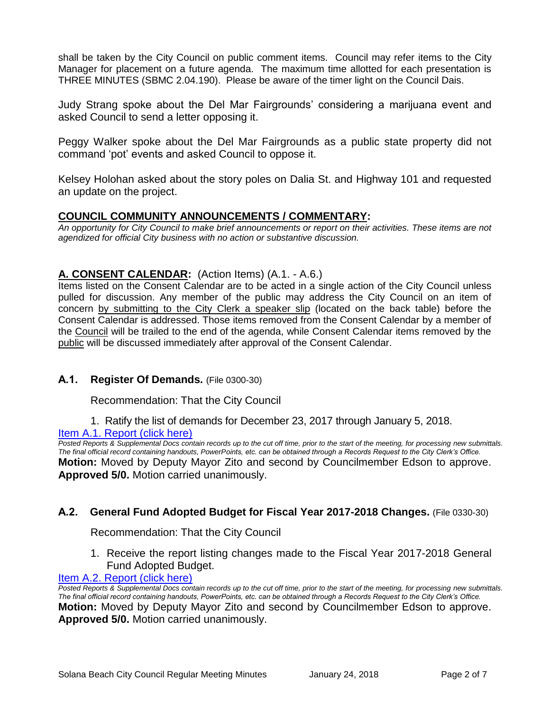shall be taken by the City Council on public comment items. Council may refer items to the City Manager for placement on a future agenda. The maximum time allotted for each presentation is THREE MINUTES (SBMC 2.04.190). Please be aware of the timer light on the Council Dais.

Judy Strang spoke about the Del Mar Fairgrounds' considering a marijuana event and asked Council to send a letter opposing it.

Peggy Walker spoke about the Del Mar Fairgrounds as a public state property did not command 'pot' events and asked Council to oppose it.

Kelsey Holohan asked about the story poles on Dalia St. and Highway 101 and requested an update on the project.

#### **COUNCIL COMMUNITY ANNOUNCEMENTS / COMMENTARY:**

*An opportunity for City Council to make brief announcements or report on their activities. These items are not agendized for official City business with no action or substantive discussion.* 

#### **A. CONSENT CALENDAR:** (Action Items) (A.1. - A.6.)

Items listed on the Consent Calendar are to be acted in a single action of the City Council unless pulled for discussion. Any member of the public may address the City Council on an item of concern by submitting to the City Clerk a speaker slip (located on the back table) before the Consent Calendar is addressed. Those items removed from the Consent Calendar by a member of the Council will be trailed to the end of the agenda, while Consent Calendar items removed by the public will be discussed immediately after approval of the Consent Calendar.

#### **A.1. Register Of Demands.** (File 0300-30)

Recommendation: That the City Council

1. Ratify the list of demands for December 23, 2017 through January 5, 2018.

#### [Item A.1. Report \(click here\)](https://solanabeach.govoffice3.com/vertical/Sites/%7B840804C2-F869-4904-9AE3-720581350CE7%7D/uploads/Item_A.1._Report_(click_here)_-_1-24-18.PDF)

*Posted Reports & Supplemental Docs contain records up to the cut off time, prior to the start of the meeting, for processing new submittals. The final official record containing handouts, PowerPoints, etc. can be obtained through a Records Request to the City Clerk's Office.* **Motion:** Moved by Deputy Mayor Zito and second by Councilmember Edson to approve. **Approved 5/0.** Motion carried unanimously.

#### **A.2. General Fund Adopted Budget for Fiscal Year 2017-2018 Changes.** (File 0330-30)

Recommendation: That the City Council

1. Receive the report listing changes made to the Fiscal Year 2017-2018 General Fund Adopted Budget.

#### [Item A.2. Report \(click here\)](https://solanabeach.govoffice3.com/vertical/Sites/%7B840804C2-F869-4904-9AE3-720581350CE7%7D/uploads/Item_A.2._Report_(click_here)_-_1-24-18.PDF)

*Posted Reports & Supplemental Docs contain records up to the cut off time, prior to the start of the meeting, for processing new submittals. The final official record containing handouts, PowerPoints, etc. can be obtained through a Records Request to the City Clerk's Office.* **Motion:** Moved by Deputy Mayor Zito and second by Councilmember Edson to approve. **Approved 5/0.** Motion carried unanimously.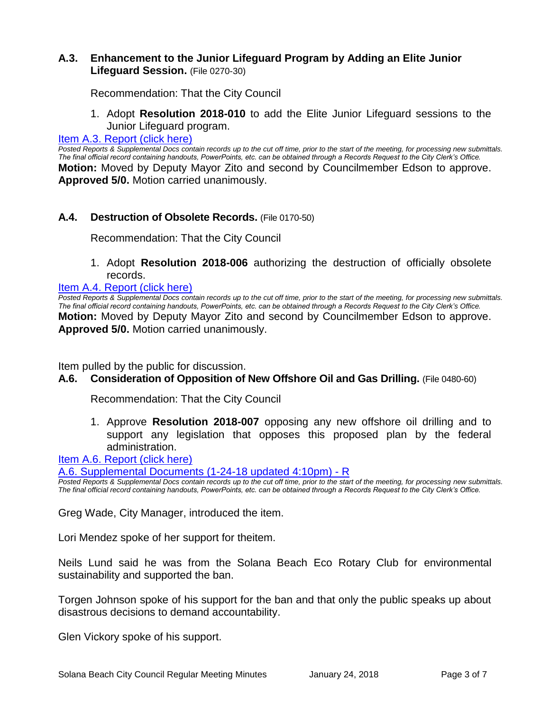#### **A.3. Enhancement to the Junior Lifeguard Program by Adding an Elite Junior Lifeguard Session.** (File 0270-30)

Recommendation: That the City Council

1. Adopt **Resolution 2018-010** to add the Elite Junior Lifeguard sessions to the Junior Lifeguard program.

#### [Item A.3. Report \(click here\)](https://solanabeach.govoffice3.com/vertical/Sites/%7B840804C2-F869-4904-9AE3-720581350CE7%7D/uploads/Item_A.3._Report_(click_here)_-_1-24-18.PDF)

*Posted Reports & Supplemental Docs contain records up to the cut off time, prior to the start of the meeting, for processing new submittals. The final official record containing handouts, PowerPoints, etc. can be obtained through a Records Request to the City Clerk's Office.* **Motion:** Moved by Deputy Mayor Zito and second by Councilmember Edson to approve. **Approved 5/0.** Motion carried unanimously.

#### **A.4. Destruction of Obsolete Records.** (File 0170-50)

Recommendation: That the City Council

1. Adopt **Resolution 2018-006** authorizing the destruction of officially obsolete records.

#### [Item A.4. Report \(click here\)](https://solanabeach.govoffice3.com/vertical/Sites/%7B840804C2-F869-4904-9AE3-720581350CE7%7D/uploads/Item_A.4._Report_(click_here)_-_1-24-18.PDF)

*Posted Reports & Supplemental Docs contain records up to the cut off time, prior to the start of the meeting, for processing new submittals. The final official record containing handouts, PowerPoints, etc. can be obtained through a Records Request to the City Clerk's Office.* **Motion:** Moved by Deputy Mayor Zito and second by Councilmember Edson to approve. **Approved 5/0.** Motion carried unanimously.

Item pulled by the public for discussion.

**A.6. Consideration of Opposition of New Offshore Oil and Gas Drilling.** (File 0480-60)

Recommendation: That the City Council

1. Approve **Resolution 2018-007** opposing any new offshore oil drilling and to support any legislation that opposes this proposed plan by the federal administration.

[Item A.6. Report \(click here\)](https://solanabeach.govoffice3.com/vertical/Sites/%7B840804C2-F869-4904-9AE3-720581350CE7%7D/uploads/Item_A.6._Report_(click_here)_-_1-24-18.PDF)

[A.6. Supplemental Documents \(1-24-18 updated 4:10pm\) -](https://solanabeach.govoffice3.com/vertical/Sites/%7B840804C2-F869-4904-9AE3-720581350CE7%7D/uploads/A.6._Supplemental_Documents_(1-24-18_updated_500pm)_-_R.pdf) R

*Posted Reports & Supplemental Docs contain records up to the cut off time, prior to the start of the meeting, for processing new submittals. The final official record containing handouts, PowerPoints, etc. can be obtained through a Records Request to the City Clerk's Office.*

Greg Wade, City Manager, introduced the item.

Lori Mendez spoke of her support for theitem.

Neils Lund said he was from the Solana Beach Eco Rotary Club for environmental sustainability and supported the ban.

Torgen Johnson spoke of his support for the ban and that only the public speaks up about disastrous decisions to demand accountability.

Glen Vickory spoke of his support.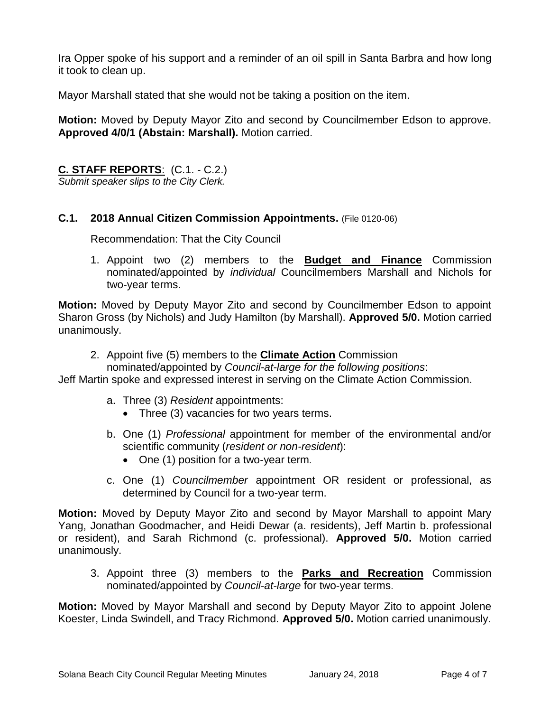Ira Opper spoke of his support and a reminder of an oil spill in Santa Barbra and how long it took to clean up.

Mayor Marshall stated that she would not be taking a position on the item.

**Motion:** Moved by Deputy Mayor Zito and second by Councilmember Edson to approve. **Approved 4/0/1 (Abstain: Marshall).** Motion carried.

**C. STAFF REPORTS**: (C.1. - C.2.)

*Submit speaker slips to the City Clerk.*

#### **C.1. 2018 Annual Citizen Commission Appointments.** (File 0120-06)

Recommendation: That the City Council

1. Appoint two (2) members to the **Budget and Finance** Commission nominated/appointed by *individual* Councilmembers Marshall and Nichols for two-year terms.

**Motion:** Moved by Deputy Mayor Zito and second by Councilmember Edson to appoint Sharon Gross (by Nichols) and Judy Hamilton (by Marshall). **Approved 5/0.** Motion carried unanimously.

2. Appoint five (5) members to the **Climate Action** Commission

nominated/appointed by *Council-at-large for the following positions*:

Jeff Martin spoke and expressed interest in serving on the Climate Action Commission.

- a. Three (3) *Resident* appointments:
	- Three (3) vacancies for two years terms.
- b. One (1) *Professional* appointment for member of the environmental and/or scientific community (*resident or non-resident*):
	- One (1) position for a two-year term.
- c. One (1) *Councilmember* appointment OR resident or professional, as determined by Council for a two-year term.

**Motion:** Moved by Deputy Mayor Zito and second by Mayor Marshall to appoint Mary Yang, Jonathan Goodmacher, and Heidi Dewar (a. residents), Jeff Martin b. professional or resident), and Sarah Richmond (c. professional). **Approved 5/0.** Motion carried unanimously.

3. Appoint three (3) members to the **Parks and Recreation** Commission nominated/appointed by *Council-at-large* for two-year terms.

**Motion:** Moved by Mayor Marshall and second by Deputy Mayor Zito to appoint Jolene Koester, Linda Swindell, and Tracy Richmond. **Approved 5/0.** Motion carried unanimously.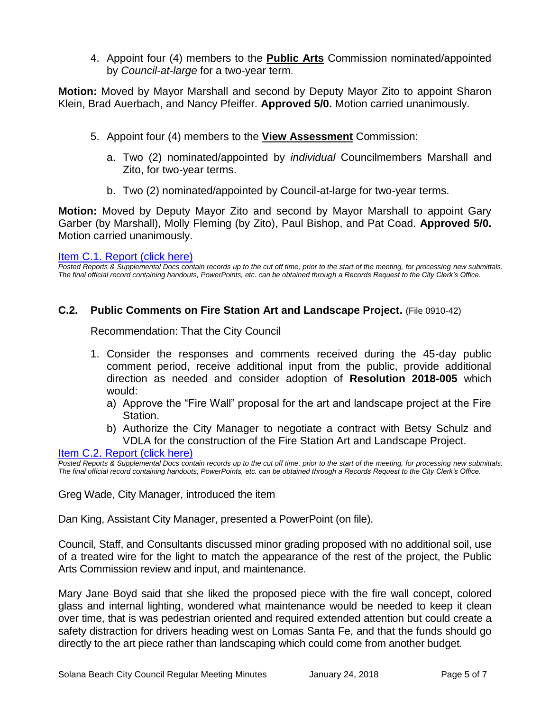4. Appoint four (4) members to the **Public Arts** Commission nominated/appointed by *Council-at-large* for a two-year term.

**Motion:** Moved by Mayor Marshall and second by Deputy Mayor Zito to appoint Sharon Klein, Brad Auerbach, and Nancy Pfeiffer. **Approved 5/0.** Motion carried unanimously.

- 5. Appoint four (4) members to the **View Assessment** Commission:
	- a. Two (2) nominated/appointed by *individual* Councilmembers Marshall and Zito, for two-year terms.
	- b. Two (2) nominated/appointed by Council-at-large for two-year terms.

**Motion:** Moved by Deputy Mayor Zito and second by Mayor Marshall to appoint Gary Garber (by Marshall), Molly Fleming (by Zito), Paul Bishop, and Pat Coad. **Approved 5/0.** Motion carried unanimously.

#### Item [C.1. Report \(click here\)](https://solanabeach.govoffice3.com/vertical/Sites/%7B840804C2-F869-4904-9AE3-720581350CE7%7D/uploads/Item_C.1._Report_(click_here)_-_1-24-18.PDF)

*Posted Reports & Supplemental Docs contain records up to the cut off time, prior to the start of the meeting, for processing new submittals. The final official record containing handouts, PowerPoints, etc. can be obtained through a Records Request to the City Clerk's Office.*

#### **C.2. Public Comments on Fire Station Art and Landscape Project.** (File 0910-42)

Recommendation: That the City Council

- 1. Consider the responses and comments received during the 45-day public comment period, receive additional input from the public, provide additional direction as needed and consider adoption of **Resolution 2018-005** which would:
	- a) Approve the "Fire Wall" proposal for the art and landscape project at the Fire Station.
	- b) Authorize the City Manager to negotiate a contract with Betsy Schulz and VDLA for the construction of the Fire Station Art and Landscape Project.

[Item C.2. Report \(click here\)](https://solanabeach.govoffice3.com/vertical/Sites/%7B840804C2-F869-4904-9AE3-720581350CE7%7D/uploads/Item_C.2._Report_(click_here)_-_1-24-18_-_R.pdf)

*Posted Reports & Supplemental Docs contain records up to the cut off time, prior to the start of the meeting, for processing new submittals. The final official record containing handouts, PowerPoints, etc. can be obtained through a Records Request to the City Clerk's Office.*

Greg Wade, City Manager, introduced the item

Dan King, Assistant City Manager, presented a PowerPoint (on file).

Council, Staff, and Consultants discussed minor grading proposed with no additional soil, use of a treated wire for the light to match the appearance of the rest of the project, the Public Arts Commission review and input, and maintenance.

Mary Jane Boyd said that she liked the proposed piece with the fire wall concept, colored glass and internal lighting, wondered what maintenance would be needed to keep it clean over time, that is was pedestrian oriented and required extended attention but could create a safety distraction for drivers heading west on Lomas Santa Fe, and that the funds should go directly to the art piece rather than landscaping which could come from another budget.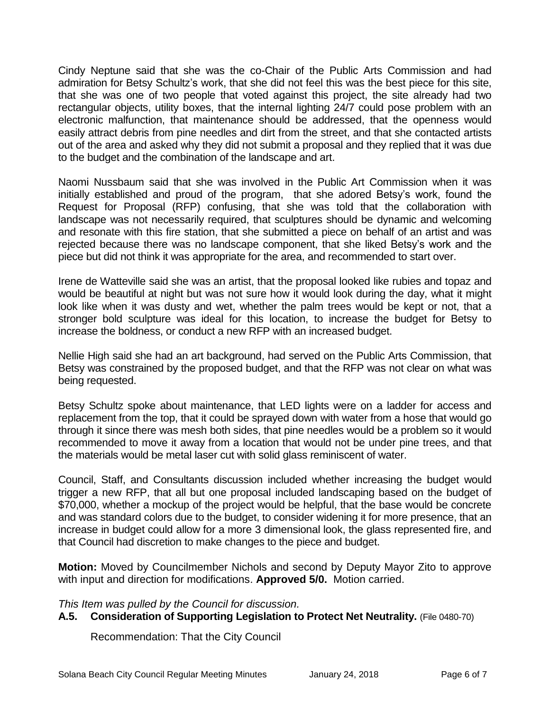Cindy Neptune said that she was the co-Chair of the Public Arts Commission and had admiration for Betsy Schultz's work, that she did not feel this was the best piece for this site, that she was one of two people that voted against this project, the site already had two rectangular objects, utility boxes, that the internal lighting 24/7 could pose problem with an electronic malfunction, that maintenance should be addressed, that the openness would easily attract debris from pine needles and dirt from the street, and that she contacted artists out of the area and asked why they did not submit a proposal and they replied that it was due to the budget and the combination of the landscape and art.

Naomi Nussbaum said that she was involved in the Public Art Commission when it was initially established and proud of the program, that she adored Betsy's work, found the Request for Proposal (RFP) confusing, that she was told that the collaboration with landscape was not necessarily required, that sculptures should be dynamic and welcoming and resonate with this fire station, that she submitted a piece on behalf of an artist and was rejected because there was no landscape component, that she liked Betsy's work and the piece but did not think it was appropriate for the area, and recommended to start over.

Irene de Watteville said she was an artist, that the proposal looked like rubies and topaz and would be beautiful at night but was not sure how it would look during the day, what it might look like when it was dusty and wet, whether the palm trees would be kept or not, that a stronger bold sculpture was ideal for this location, to increase the budget for Betsy to increase the boldness, or conduct a new RFP with an increased budget.

Nellie High said she had an art background, had served on the Public Arts Commission, that Betsy was constrained by the proposed budget, and that the RFP was not clear on what was being requested.

Betsy Schultz spoke about maintenance, that LED lights were on a ladder for access and replacement from the top, that it could be sprayed down with water from a hose that would go through it since there was mesh both sides, that pine needles would be a problem so it would recommended to move it away from a location that would not be under pine trees, and that the materials would be metal laser cut with solid glass reminiscent of water.

Council, Staff, and Consultants discussion included whether increasing the budget would trigger a new RFP, that all but one proposal included landscaping based on the budget of \$70,000, whether a mockup of the project would be helpful, that the base would be concrete and was standard colors due to the budget, to consider widening it for more presence, that an increase in budget could allow for a more 3 dimensional look, the glass represented fire, and that Council had discretion to make changes to the piece and budget.

**Motion:** Moved by Councilmember Nichols and second by Deputy Mayor Zito to approve with input and direction for modifications. **Approved 5/0.** Motion carried.

*This Item was pulled by the Council for discussion.* 

### **A.5. Consideration of Supporting Legislation to Protect Net Neutrality.** (File 0480-70)

Recommendation: That the City Council